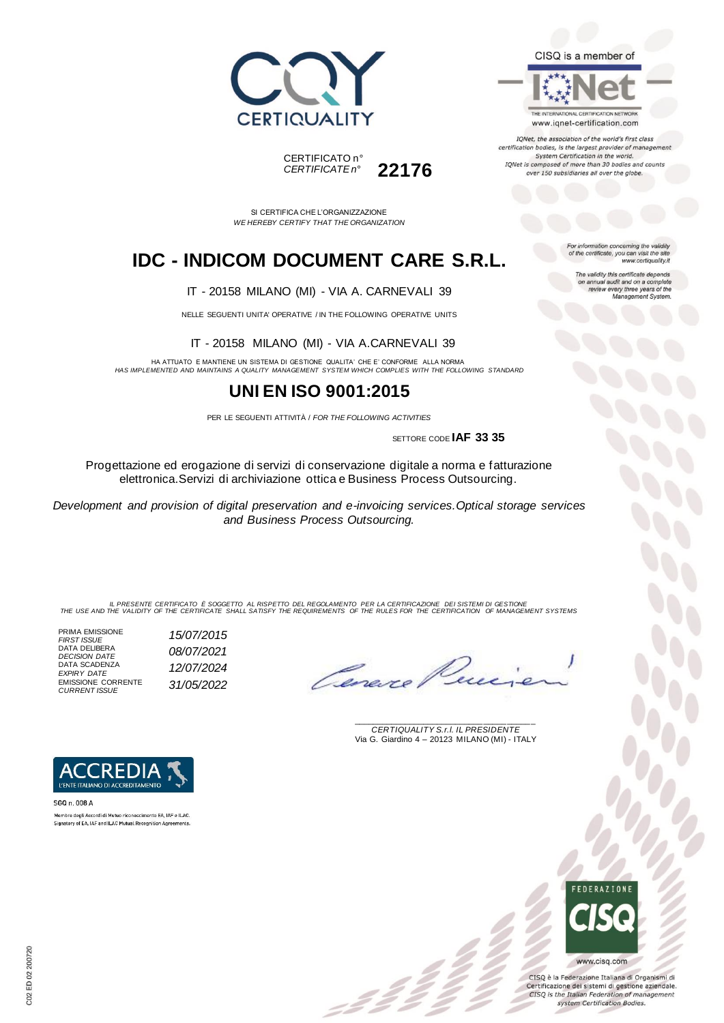



THE INTERNATIONAL CERTIFICATION NETWORK www.iqnet-certification.com

IQNet, the association of the world's first class certification bodies, is the largest provider of management System Certification in the world. IQNet is composed of more than 30 bodies and counts over 150 subsidiaries all over the globe.

For information concerning the validity<br>of the certificate, you can visit the site

The validity this certificate depends on annual audit and on a complete<br>review every three years of the<br>Management System.

www.certiquality.it

SI CERTIFICA CHE L'ORGANIZZAZIONE *WE HEREBY CERTIFY THAT THE ORGANIZATION*

CERTIFICATO n°

*CERTIFICATE n°* **22176**

## **IDC - INDICOM DOCUMENT CARE S.R.L.**

IT - 20158 MILANO (MI) - VIA A. CARNEVALI 39

NELLE SEGUENTI UNITA' OPERATIVE / IN THE FOLLOWING OPERATIVE UNITS

IT - 20158 MILANO (MI) - VIA A.CARNEVALI 39

HA ATTUATO E MANTIENE UN SISTEMA DI GESTIONE QUALITA' CHE E' CONFORME ALLA NORMA *HAS IMPLEMENTED AND MAINTAINS A QUALITY MANAGEMENT SYSTEM WHICH COMPLIES WITH THE FOLLOWING STANDARD*

### **UNI EN ISO 9001:2015**

PER LE SEGUENTI ATTIVITÀ / *FOR THE FOLLOWING ACTIVITIES*

SETTORE CODE **IAF 33 35**

Progettazione ed erogazione di servizi di conservazione digitale a norma e fatturazione elettronica.Servizi di archiviazione ottica e Business Process Outsourcing.

*Development and provision of digital preservation and e-invoicing services.Optical storage services and Business Process Outsourcing.*

IL PRESENTE CERTIFICATO E SOGGETTO AL RISPETTO DEL REGOLAMENTO PER LA CERTIFICAZIONE DEI SISTEMI DI GESTIONE<br>THE USE AND THE VALIDITY OF THE CERTIFICATE SHALL SATISFY THE REQUIREMENTS OF THE RULES FOR THE CERTIFICATION OF

PRIMA EMISSIONE *FIRST ISSUE 15/07/2015* DATA DELIBERA *DECISION DATE 08/07/2021* DATA SCADENZA *EXPIRY DATE 12/07/2024* EMISSIONE CORRENTE *CURRENT ISSUE 31/05/2022*

Cenero

\_\_\_\_\_\_\_\_\_\_\_\_\_\_\_\_\_\_\_\_\_\_\_\_\_\_\_\_\_\_\_\_\_\_\_\_\_\_\_ *CERTIQUALITY S.r.l. IL PRESIDENTE* Via G. Giardino 4 – 20123 MILANO (MI) - ITALY



Membro degli Accordi di Mutuo riconoscimento EA, IAF e ILAC Signatory of EA, IAF and ILAC Mutual Recognition Agreements.

> **FFDFRATIONE** www.cisq.com

CISQ è la Federazione Italiana di Organismi di Certificazione dei sistemi di gestione aziendale. CISQ is the Italian Federation of management system Certification Bodies.